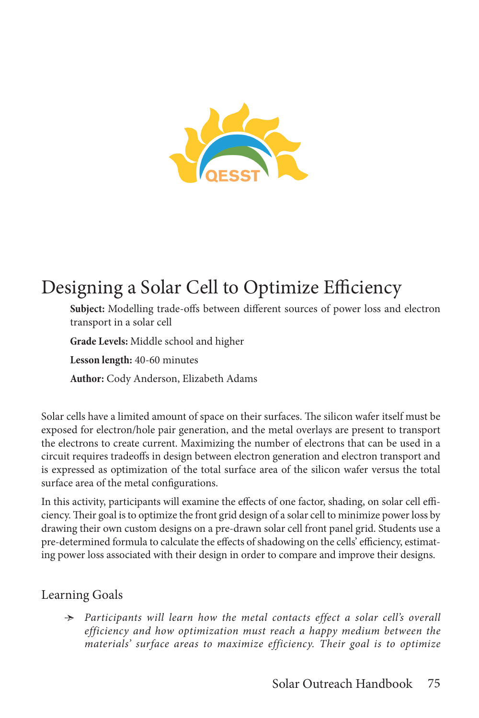

# Designing a Solar Cell to Optimize Efficiency

**Subject:** Modelling trade-offs between different sources of power loss and electron transport in a solar cell

**Grade Levels:** Middle school and higher

**Lesson length:** 40-60 minutes

**Author:** Cody Anderson, Elizabeth Adams

Solar cells have a limited amount of space on their surfaces. The silicon wafer itself must be exposed for electron/hole pair generation, and the metal overlays are present to transport the electrons to create current. Maximizing the number of electrons that can be used in a circuit requires tradeoffs in design between electron generation and electron transport and is expressed as optimization of the total surface area of the silicon wafer versus the total surface area of the metal configurations.

In this activity, participants will examine the effects of one factor, shading, on solar cell efficiency. Their goal is to optimize the front grid design of a solar cell to minimize power loss by drawing their own custom designs on a pre-drawn solar cell front panel grid. Students use a pre-determined formula to calculate the effects of shadowing on the cells' efficiency, estimating power loss associated with their design in order to compare and improve their designs.

### Learning Goals

Ӻ *Participants will learn how the metal contacts effect a solar cell's overall efficiency and how optimization must reach a happy medium between the materials' surface areas to maximize efficiency. Their goal is to optimize*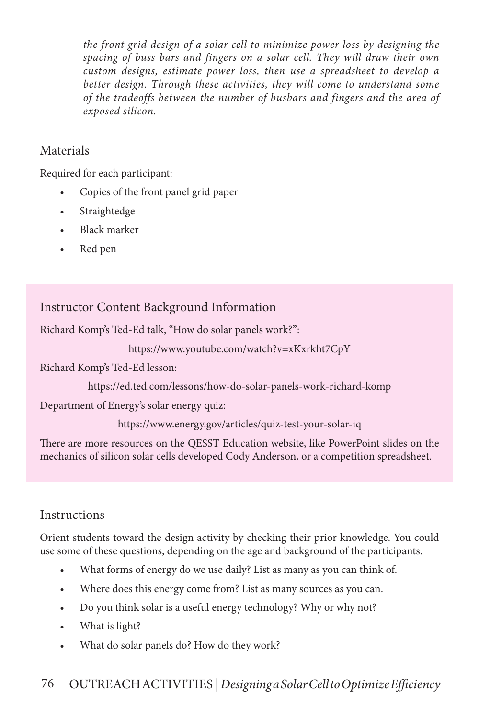*the front grid design of a solar cell to minimize power loss by designing the spacing of buss bars and fingers on a solar cell. They will draw their own custom designs, estimate power loss, then use a spreadsheet to develop a better design. Through these activities, they will come to understand some of the tradeoffs between the number of busbars and fingers and the area of exposed silicon.* 

### Materials

Required for each participant:

- Copies of the front panel grid paper
- Straightedge
- Black marker
- Red pen

# Instructor Content Background Information

Richard Komp's Ted-Ed talk, "How do solar panels work?":

```
https://www.youtube.com/watch?v=xKxrkht7CpY
```
Richard Komp's Ted-Ed lesson:

https://ed.ted.com/lessons/how-do-solar-panels-work-richard-komp

Department of Energy's solar energy quiz:

https://www.energy.gov/articles/quiz-test-your-solar-iq

There are more resources on the QESST Education website, like PowerPoint slides on the mechanics of silicon solar cells developed Cody Anderson, or a competition spreadsheet.

## **Instructions**

Orient students toward the design activity by checking their prior knowledge. You could use some of these questions, depending on the age and background of the participants.

- What forms of energy do we use daily? List as many as you can think of.
- Where does this energy come from? List as many sources as you can.
- Do you think solar is a useful energy technology? Why or why not?
- What is light?
- What do solar panels do? How do they work?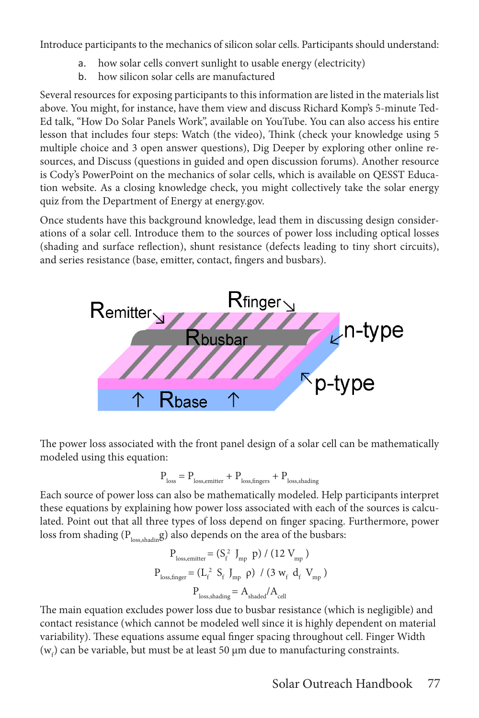Introduce participants to the mechanics of silicon solar cells. Participants should understand:

- a. how solar cells convert sunlight to usable energy (electricity)
- b. how silicon solar cells are manufactured

Several resources for exposing participants to this information are listed in the materials list above. You might, for instance, have them view and discuss Richard Komp's 5-minute Ted-Ed talk, "How Do Solar Panels Work", available on YouTube. You can also access his entire lesson that includes four steps: Watch (the video), Think (check your knowledge using 5 multiple choice and 3 open answer questions), Dig Deeper by exploring other online resources, and Discuss (questions in guided and open discussion forums). Another resource is Cody's PowerPoint on the mechanics of solar cells, which is available on QESST Education website. As a closing knowledge check, you might collectively take the solar energy quiz from the Department of Energy at energy.gov.

Once students have this background knowledge, lead them in discussing design considerations of a solar cell. Introduce them to the sources of power loss including optical losses (shading and surface reflection), shunt resistance (defects leading to tiny short circuits), and series resistance (base, emitter, contact, fingers and busbars).



The power loss associated with the front panel design of a solar cell can be mathematically modeled using this equation:

$$
P_{\rm loss} = P_{\rm loss,emitter} + P_{\rm loss, fingers} + P_{\rm loss,shading}
$$

Each source of power loss can also be mathematically modeled. Help participants interpret these equations by explaining how power loss associated with each of the sources is calculated. Point out that all three types of loss depend on finger spacing. Furthermore, power loss from shading ( $P_{loss, shading}$ ) also depends on the area of the busbars:

$$
P_{loss,emitter} = (S_f^2 J_{mp} p) / (12 V_{mp})
$$
  

$$
P_{loss, finger} = (L_f^2 S_f J_{mp} p) / (3 w_f d_f V_{mp})
$$
  

$$
P_{loss, shading} = A_{shaded} / A_{cell}
$$

The main equation excludes power loss due to busbar resistance (which is negligible) and contact resistance (which cannot be modeled well since it is highly dependent on material variability). These equations assume equal finger spacing throughout cell. Finger Width  $(w<sub>f</sub>)$  can be variable, but must be at least 50  $\mu$ m due to manufacturing constraints.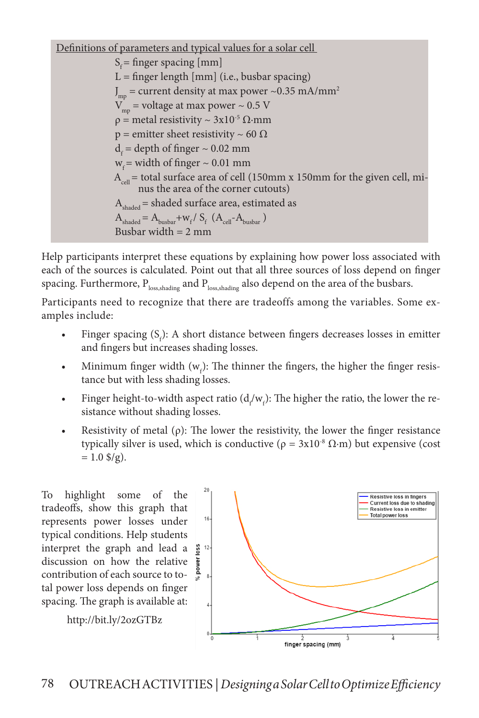Definitions of parameters and typical values for a solar cell  $S_f$  = finger spacing [mm]  $L = \text{finger length [mm] (i.e., busbar spacing)}$  ${\rm J_{mp}}$  = current density at max power ~0.35 mA/mm<sup>2</sup>  $V_{\text{mn}}$  = voltage at max power ~ 0.5 V  $ρ = metal resistivity ~ 3x10<sup>-5</sup> Ω·mm$  $p =$  emitter sheet resistivity ~ 60  $\Omega$  $d_f$  = depth of finger  $\sim 0.02$  mm  $w<sub>c</sub>$  = width of finger ~ 0.01 mm  $A_{cell}$  = total surface area of cell (150mm x 150mm for the given cell, minus the area of the corner cutouts)  $A<sub>shaded</sub>$  = shaded surface area, estimated as  $A_{\text{shaded}} = A_{\text{busbar}} + w_f / S_f (A_{\text{cell}} - A_{\text{busbar}})$ Busbar width  $= 2$  mm

Help participants interpret these equations by explaining how power loss associated with each of the sources is calculated. Point out that all three sources of loss depend on finger spacing. Furthermore,  $P_{loss,shading}$  and  $P_{loss,shading}$  also depend on the area of the busbars.

Participants need to recognize that there are tradeoffs among the variables. Some examples include:

- Finger spacing  $(S_f)$ : A short distance between fingers decreases losses in emitter and fingers but increases shading losses.
- Minimum finger width  $(w_f)$ : The thinner the fingers, the higher the finger resistance but with less shading losses.
- Finger height-to-width aspect ratio  $(d_f/w_f)$ : The higher the ratio, the lower the resistance without shading losses.
- Resistivity of metal ( $\rho$ ): The lower the resistivity, the lower the finger resistance typically silver is used, which is conductive ( $ρ = 3x10<sup>-8</sup> Ω·m$ ) but expensive (cost  $= 1.0$  \$/g).

To highlight some of the tradeoffs, show this graph that represents power losses under typical conditions. Help students interpret the graph and lead a  $\frac{8}{9}$ discussion on how the relative contribution of each source to total power loss depends on finger spacing. The graph is available at:

http://bit.ly/2ozGTBz

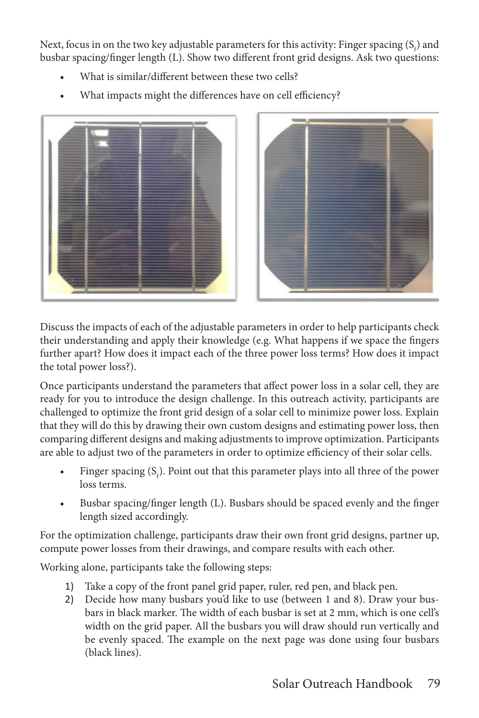Next, focus in on the two key adjustable parameters for this activity: Finger spacing  $(S_f)$  and busbar spacing/finger length (L). Show two different front grid designs. Ask two questions:

- What is similar/different between these two cells?
- What impacts might the differences have on cell efficiency?



Discuss the impacts of each of the adjustable parameters in order to help participants check their understanding and apply their knowledge (e.g. What happens if we space the fingers further apart? How does it impact each of the three power loss terms? How does it impact the total power loss?).

Once participants understand the parameters that affect power loss in a solar cell, they are ready for you to introduce the design challenge. In this outreach activity, participants are challenged to optimize the front grid design of a solar cell to minimize power loss. Explain that they will do this by drawing their own custom designs and estimating power loss, then comparing different designs and making adjustments to improve optimization. Participants are able to adjust two of the parameters in order to optimize efficiency of their solar cells.

- Finger spacing  $(S_f)$ . Point out that this parameter plays into all three of the power loss terms.
- Busbar spacing/finger length (L). Busbars should be spaced evenly and the finger length sized accordingly.

For the optimization challenge, participants draw their own front grid designs, partner up, compute power losses from their drawings, and compare results with each other.

Working alone, participants take the following steps:

- 1) Take a copy of the front panel grid paper, ruler, red pen, and black pen.
- 2) Decide how many busbars you'd like to use (between 1 and 8). Draw your busbars in black marker. The width of each busbar is set at 2 mm, which is one cell's width on the grid paper. All the busbars you will draw should run vertically and be evenly spaced. The example on the next page was done using four busbars (black lines).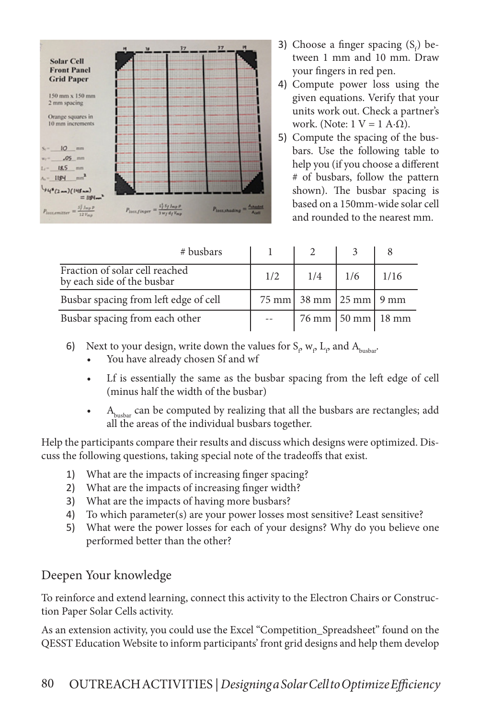

- 3) Choose a finger spacing  $(S_f)$  between 1 mm and 10 mm. Draw your fingers in red pen.
- 4) Compute power loss using the given equations. Verify that your units work out. Check a partner's work. (Note:  $1 V = 1 A·Ω$ ).
- 5) Compute the spacing of the busbars. Use the following table to help you (if you choose a different # of busbars, follow the pattern shown). The busbar spacing is based on a 150mm-wide solar cell and rounded to the nearest mm.

| # busbars                                                    |     |                                  |                                 |      |
|--------------------------------------------------------------|-----|----------------------------------|---------------------------------|------|
| Fraction of solar cell reached<br>by each side of the busbar | 1/2 | 1/4                              | 1/6                             | 1/16 |
| Busbar spacing from left edge of cell                        |     | $75 \text{ mm}$ 38 mm 25 mm 9 mm |                                 |      |
| Busbar spacing from each other                               |     |                                  | $76 \text{ mm}$   50 mm   18 mm |      |

- 6) Next to your design, write down the values for  $S_\rho w_\rho L_\rho$  and  $A_{\text{busbar}}$ .
	- You have already chosen Sf and wf
	- Lf is essentially the same as the busbar spacing from the left edge of cell (minus half the width of the busbar)
	- $A_{\rm{busbar}}$  can be computed by realizing that all the busbars are rectangles; add all the areas of the individual busbars together.

Help the participants compare their results and discuss which designs were optimized. Discuss the following questions, taking special note of the tradeoffs that exist.

- 1) What are the impacts of increasing finger spacing?
- 2) What are the impacts of increasing finger width?
- 3) What are the impacts of having more busbars?
- 4) To which parameter(s) are your power losses most sensitive? Least sensitive?
- 5) What were the power losses for each of your designs? Why do you believe one performed better than the other?

#### Deepen Your knowledge

To reinforce and extend learning, connect this activity to the Electron Chairs or Construction Paper Solar Cells activity.

As an extension activity, you could use the Excel "Competition\_Spreadsheet" found on the QESST Education Website to inform participants' front grid designs and help them develop